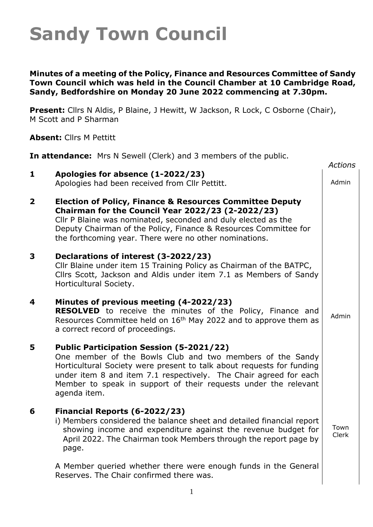#### **Minutes of a meeting of the Policy, Finance and Resources Committee of Sandy Town Council which was held in the Council Chamber at 10 Cambridge Road, Sandy, Bedfordshire on Monday 20 June 2022 commencing at 7.30pm.**

**Present:** Cllrs N Aldis, P Blaine, J Hewitt, W Jackson, R Lock, C Osborne (Chair), M Scott and P Sharman

**Absent:** Cllrs M Pettitt

**In attendance:** Mrs N Sewell (Clerk) and 3 members of the public.

|                         |                                                                                                                                                                                                                                                                                                                                               | <b>Actions</b> |
|-------------------------|-----------------------------------------------------------------------------------------------------------------------------------------------------------------------------------------------------------------------------------------------------------------------------------------------------------------------------------------------|----------------|
| 1                       | Apologies for absence (1-2022/23)<br>Apologies had been received from Cllr Pettitt.                                                                                                                                                                                                                                                           | Admin          |
| $\overline{\mathbf{2}}$ | <b>Election of Policy, Finance &amp; Resources Committee Deputy</b><br>Chairman for the Council Year 2022/23 (2-2022/23)<br>Cllr P Blaine was nominated, seconded and duly elected as the<br>Deputy Chairman of the Policy, Finance & Resources Committee for<br>the forthcoming year. There were no other nominations.                       |                |
| 3                       | Declarations of interest (3-2022/23)<br>Cllr Blaine under item 15 Training Policy as Chairman of the BATPC,<br>Cllrs Scott, Jackson and Aldis under item 7.1 as Members of Sandy<br>Horticultural Society.                                                                                                                                    |                |
| 4                       | Minutes of previous meeting (4-2022/23)<br><b>RESOLVED</b> to receive the minutes of the Policy, Finance and<br>Resources Committee held on 16 <sup>th</sup> May 2022 and to approve them as<br>a correct record of proceedings.                                                                                                              | Admin          |
| 5                       | <b>Public Participation Session (5-2021/22)</b><br>One member of the Bowls Club and two members of the Sandy<br>Horticultural Society were present to talk about requests for funding<br>under item 8 and item 7.1 respectively. The Chair agreed for each<br>Member to speak in support of their requests under the relevant<br>agenda item. |                |
| 6                       | Financial Reports (6-2022/23)<br>i) Members considered the balance sheet and detailed financial report<br>showing income and expenditure against the revenue budget for<br>April 2022. The Chairman took Members through the report page by<br>page.                                                                                          | Town<br>Clerk  |
|                         | A Member queried whether there were enough funds in the General<br>Reserves. The Chair confirmed there was.                                                                                                                                                                                                                                   |                |

 $\overline{\phantom{a}}$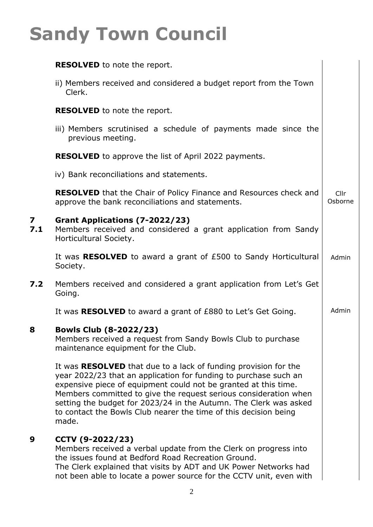|                     | <b>RESOLVED</b> to note the report.                                                                                                                                                                                                                                                                                                                                                                                                 |                 |
|---------------------|-------------------------------------------------------------------------------------------------------------------------------------------------------------------------------------------------------------------------------------------------------------------------------------------------------------------------------------------------------------------------------------------------------------------------------------|-----------------|
|                     | ii) Members received and considered a budget report from the Town<br>Clerk.                                                                                                                                                                                                                                                                                                                                                         |                 |
|                     | <b>RESOLVED</b> to note the report.                                                                                                                                                                                                                                                                                                                                                                                                 |                 |
|                     | iii) Members scrutinised a schedule of payments made since the<br>previous meeting.                                                                                                                                                                                                                                                                                                                                                 |                 |
|                     | <b>RESOLVED</b> to approve the list of April 2022 payments.                                                                                                                                                                                                                                                                                                                                                                         |                 |
|                     | iv) Bank reconciliations and statements.                                                                                                                                                                                                                                                                                                                                                                                            |                 |
|                     | RESOLVED that the Chair of Policy Finance and Resources check and<br>approve the bank reconciliations and statements.                                                                                                                                                                                                                                                                                                               | Cllr<br>Osborne |
| $\mathbf{z}$<br>7.1 | <b>Grant Applications (7-2022/23)</b><br>Members received and considered a grant application from Sandy<br>Horticultural Society.                                                                                                                                                                                                                                                                                                   |                 |
|                     | It was <b>RESOLVED</b> to award a grant of £500 to Sandy Horticultural<br>Society.                                                                                                                                                                                                                                                                                                                                                  | Admin           |
| 7.2                 | Members received and considered a grant application from Let's Get<br>Going.                                                                                                                                                                                                                                                                                                                                                        |                 |
|                     | It was <b>RESOLVED</b> to award a grant of £880 to Let's Get Going.                                                                                                                                                                                                                                                                                                                                                                 | Admin           |
| 8                   | <b>Bowls Club (8-2022/23)</b><br>Members received a request from Sandy Bowls Club to purchase<br>maintenance equipment for the Club.                                                                                                                                                                                                                                                                                                |                 |
|                     | It was <b>RESOLVED</b> that due to a lack of funding provision for the<br>year 2022/23 that an application for funding to purchase such an<br>expensive piece of equipment could not be granted at this time.<br>Members committed to give the request serious consideration when<br>setting the budget for 2023/24 in the Autumn. The Clerk was asked<br>to contact the Bowls Club nearer the time of this decision being<br>made. |                 |
| 9                   | CCTV (9-2022/23)<br>Members received a verbal update from the Clerk on progress into<br>the issues found at Bedford Road Recreation Ground.<br>The Clerk explained that visits by ADT and UK Power Networks had<br>not been able to locate a power source for the CCTV unit, even with                                                                                                                                              |                 |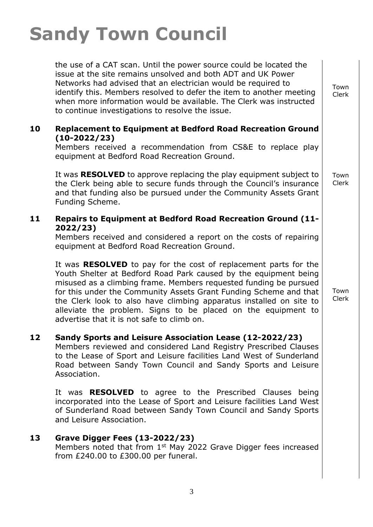the use of a CAT scan. Until the power source could be located the issue at the site remains unsolved and both ADT and UK Power Networks had advised that an electrician would be required to identify this. Members resolved to defer the item to another meeting when more information would be available. The Clerk was instructed to continue investigations to resolve the issue.

### **10 Replacement to Equipment at Bedford Road Recreation Ground (10-2022/23)**

Members received a recommendation from CS&E to replace play equipment at Bedford Road Recreation Ground.

It was **RESOLVED** to approve replacing the play equipment subject to the Clerk being able to secure funds through the Council's insurance and that funding also be pursued under the Community Assets Grant Funding Scheme.

### **11 Repairs to Equipment at Bedford Road Recreation Ground (11- 2022/23)**

Members received and considered a report on the costs of repairing equipment at Bedford Road Recreation Ground.

It was **RESOLVED** to pay for the cost of replacement parts for the Youth Shelter at Bedford Road Park caused by the equipment being misused as a climbing frame. Members requested funding be pursued for this under the Community Assets Grant Funding Scheme and that the Clerk look to also have climbing apparatus installed on site to alleviate the problem. Signs to be placed on the equipment to advertise that it is not safe to climb on.

## **12 Sandy Sports and Leisure Association Lease (12-2022/23)**

Members reviewed and considered Land Registry Prescribed Clauses to the Lease of Sport and Leisure facilities Land West of Sunderland Road between Sandy Town Council and Sandy Sports and Leisure Association.

It was **RESOLVED** to agree to the Prescribed Clauses being incorporated into the Lease of Sport and Leisure facilities Land West of Sunderland Road between Sandy Town Council and Sandy Sports and Leisure Association.

### **13 Grave Digger Fees (13-2022/23)**

Members noted that from 1<sup>st</sup> May 2022 Grave Digger fees increased from £240.00 to £300.00 per funeral.

Town Clerk

Town Clerk

Town Clerk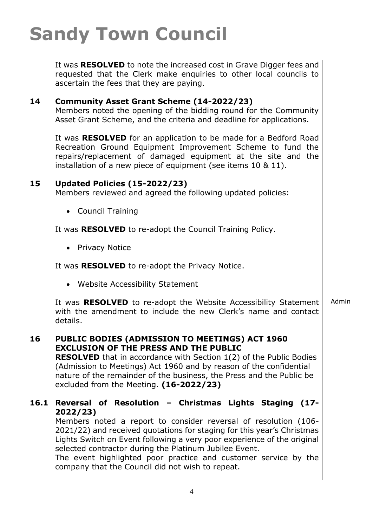It was **RESOLVED** to note the increased cost in Grave Digger fees and requested that the Clerk make enquiries to other local councils to ascertain the fees that they are paying.

### **14 Community Asset Grant Scheme (14-2022/23)**

Members noted the opening of the bidding round for the Community Asset Grant Scheme, and the criteria and deadline for applications.

It was **RESOLVED** for an application to be made for a Bedford Road Recreation Ground Equipment Improvement Scheme to fund the repairs/replacement of damaged equipment at the site and the installation of a new piece of equipment (see items 10 & 11).

#### **15 Updated Policies (15-2022/23)**

Members reviewed and agreed the following updated policies:

• Council Training

It was **RESOLVED** to re-adopt the Council Training Policy.

• Privacy Notice

It was **RESOLVED** to re-adopt the Privacy Notice.

• Website Accessibility Statement

It was **RESOLVED** to re-adopt the Website Accessibility Statement with the amendment to include the new Clerk's name and contact details. Admin

**16 PUBLIC BODIES (ADMISSION TO MEETINGS) ACT 1960 EXCLUSION OF THE PRESS AND THE PUBLIC RESOLVED** that in accordance with Section 1(2) of the Public Bodies (Admission to Meetings) Act 1960 and by reason of the confidential

nature of the remainder of the business, the Press and the Public be excluded from the Meeting. **(16-2022/23)**

### **16.1 Reversal of Resolution – Christmas Lights Staging (17- 2022/23)**

Members noted a report to consider reversal of resolution (106- 2021/22) and received quotations for staging for this year's Christmas Lights Switch on Event following a very poor experience of the original selected contractor during the Platinum Jubilee Event.

The event highlighted poor practice and customer service by the company that the Council did not wish to repeat.